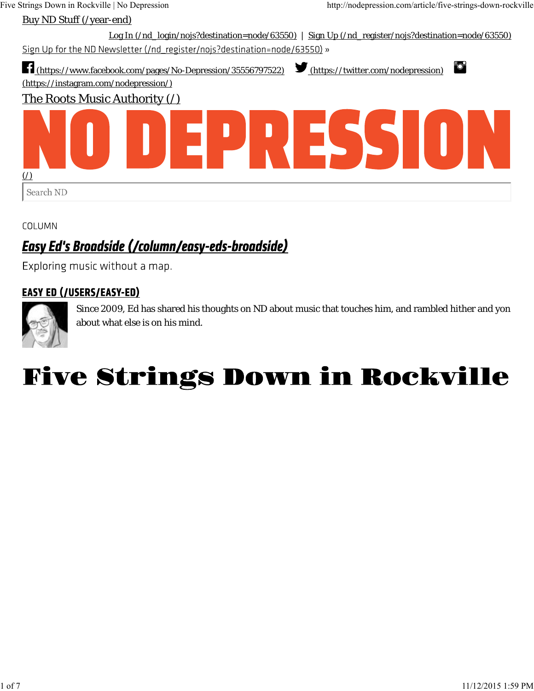

COLUMN

## **Easy Ed's Broadside (/column/easy-eds-broadside)**

Exploring music without a map.

### **EASY ED (/USERS/EASY-ED)**



Since 2009, Ed has shared his thoughts on ND about music that touches him, and rambled hither and yon about what else is on his mind.

# **Five Strings Down in Rockville**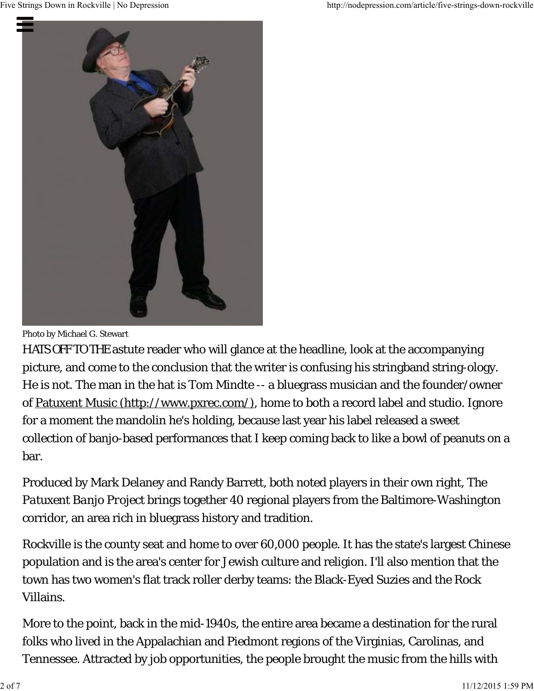

Photo by Michael G. Stewart

HATS OFF TO THE astute reader who will glance at the headline, look at the accompanying picture, and come to the conclusion that the writer is confusing his stringband string-ology. He is not. The man in the hat is Tom Mindte -- a bluegrass musician and the founder/owner of Patuxent Music (http://www.pxrec.com/), home to both a record label and studio. Ignore for a moment the mandolin he's holding, because last year his label released a sweet collection of banjo-based performances that I keep coming back to like a bowl of peanuts on a bar.

Produced by Mark Delaney and Randy Barrett, both noted players in their own right, *The Patuxent Banjo Project* brings together 40 regional players from the Baltimore-Washington corridor, an area rich in bluegrass history and tradition.

Rockville is the county seat and home to over 60,000 people. It has the state's largest Chinese population and is the area's center for Jewish culture and religion. I'll also mention that the town has two women's flat track roller derby teams: the Black-Eyed Suzies and the Rock Villains.

More to the point, back in the mid-1940s, the entire area became a destination for the rural folks who lived in the Appalachian and Piedmont regions of the Virginias, Carolinas, and Tennessee. Attracted by job opportunities, the people brought the music from the hills with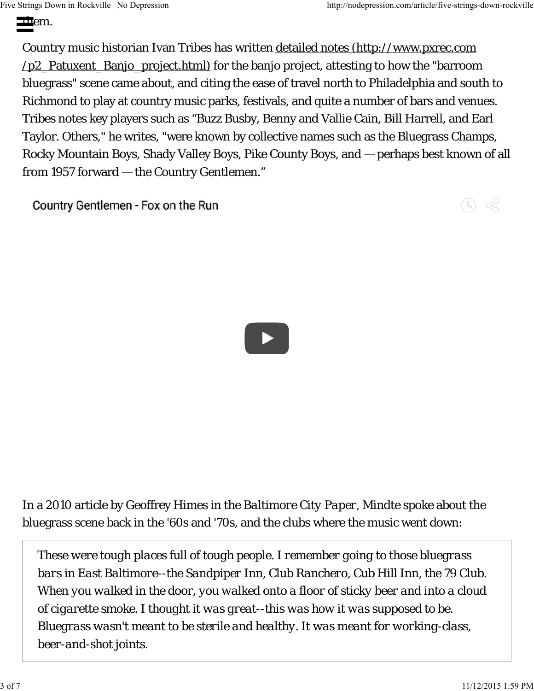#### $\mathbf{m}_{\text{em}}$ . Five Strings Down in Rockville | No Depression http://nodepression.com/article/five-strings-down-rockville

Country music historian Ivan Tribes has written detailed notes (http://www.pxrec.com /p2 Patuxent Banjo project.html) for the banjo project, attesting to how the "barroom bluegrass" scene came about, and citing the ease of travel north to Philadelphia and south to Richmond to play at country music parks, festivals, and quite a number of bars and venues. Tribes notes key players such as "Buzz Busby, Benny and Vallie Cain, Bill Harrell, and Earl Taylor. Others," he writes, "were known by collective names such as the Bluegrass Champs, Rocky Mountain Boys, Shady Valley Boys, Pike County Boys, and — perhaps best known of all from 1957 forward — the Country Gentlemen."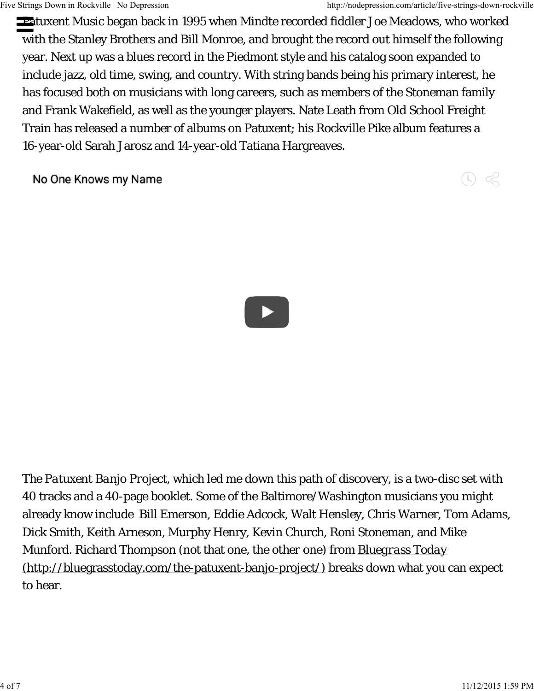Patuxent Music began back in 1995 when Mindte recorded fiddler Joe Meadows, who worked with the Stanley Brothers and Bill Monroe, and brought the record out himself the following year. Next up was a blues record in the Piedmont style and his catalog soon expanded to include jazz, old time, swing, and country. With string bands being his primary interest, he has focused both on musicians with long careers, such as members of the Stoneman family and Frank Wakefield, as well as the younger players. Nate Leath from Old School Freight Train has released a number of albums on Patuxent; his *Rockville Pike* album features a 16-year-old Sarah Jarosz and 14-year-old Tatiana Hargreaves.

 $\circledcirc$ 

No One Knows my Name



*The Patuxent Banjo Project*, which led me down this path of discovery, is a two-disc set with 40 tracks and a 40-page booklet. Some of the Baltimore/Washington musicians you might already know include Bill Emerson, Eddie Adcock, Walt Hensley, Chris Warner, Tom Adams, Dick Smith, Keith Arneson, Murphy Henry, Kevin Church, Roni Stoneman, and Mike Munford. Richard Thompson (not that one, the *other* one) from *Bluegrass Today* (http://bluegrasstoday.com/the-patuxent-banjo-project/) breaks down what you can expect to hear.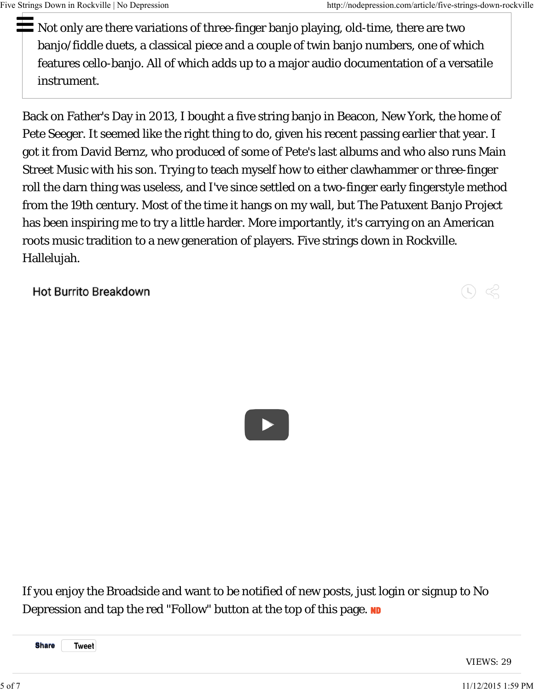Not only are there variations of three-finger banjo playing, old-time, there are two banjo/fiddle duets, a classical piece and a couple of twin banjo numbers, one of which features cello-banjo. All of which adds up to a major audio documentation of a versatile instrument.

Back on Father's Day in 2013, I bought a five string banjo in Beacon, New York, the home of Pete Seeger. It seemed like the right thing to do, given his recent passing earlier that year. I got it from David Bernz, who produced of some of Pete's last albums and who also runs Main Street Music with his son. Trying to teach myself how to either clawhammer or three-finger roll the darn thing was useless, and I've since settled on a two-finger early fingerstyle method from the 19th century. Most of the time it hangs on my wall, but *The Patuxent Banjo Project* has been inspiring me to try a little harder. More importantly, it's carrying on an American roots music tradition to a new generation of players. Five strings down in Rockville. Hallelujah.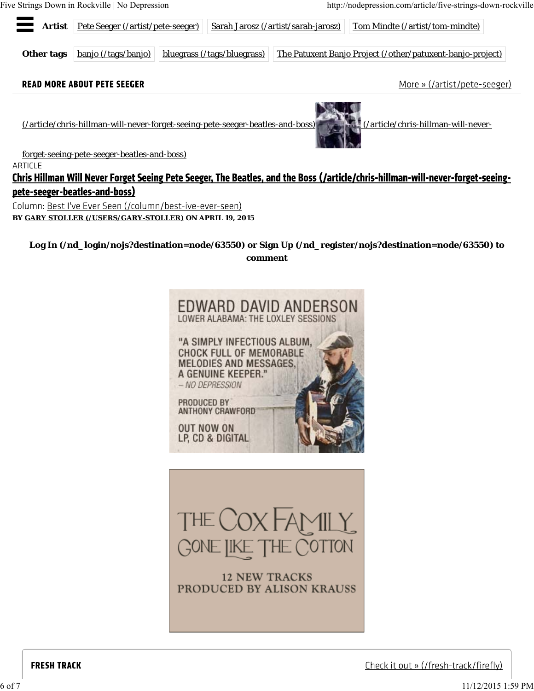Five Strings Down in Rockville | No Depression http://nodepression.com/article/five-strings-down-rockville



**Log In (/nd\_login/nojs?destination=node/63550) or Sign Up (/nd\_register/nojs?destination=node/63550) to comment**





**12 NEW TRACKS** PRODUCED BY ALISON KRAUSS

Check it out » (/fresh-track/firefly)